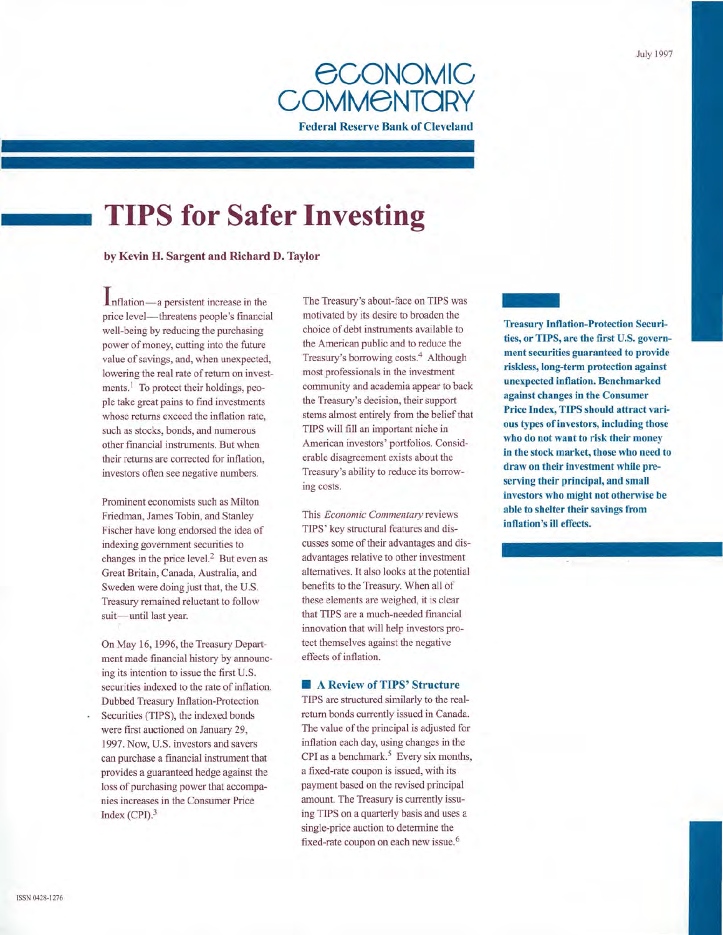

# **TIPS for Safer Investing**

**by Kevin H. Sargent and Richard D. Taylor** 

**Inflation**—a persistent increase in the price level- threatens people's financial well-being by reducing the purchasing power of money, cutting into the future value of savings, and, when unexpected, lowering the real rate of return on investments.<sup>1</sup> To protect their holdings, people take great pains to find investments whose returns exceed the inflation rate, such as stocks, bonds, and numerous other financial instruments. But when their returns are corrected for inflation, investors often see negative numbers.

Prominent economists such as Milton Friedman, James Tobin, and Stanley Fischer have long endorsed the idea of indexing government securities to changes in the price level. $<sup>2</sup>$  But even as</sup> Great Britain, Canada, Australia, and Sweden were doing just that, the U.S. Treasury remained reluctant to follow suit-until last year.

On May 16, 1996, the Treasury Department made financial history by announcing its intention to issue the first U.S. securities indexed to the rate of inflation. Dubbed Treasury Inflation-Protection Securities (TIPS), the indexed bonds were first auctioned on January 29, 1997. Now, U.S. investors and savers can purchase a financial instrument that provides a guaranteed hedge against the loss of purchasing power that accompanies increases in the Consumer Price

Index (CPI).3

The Treasury's about-face on TIPS was motivated by its desire to broaden the choice of debt instruments available to the American public and to reduce the Treasury's borrowing costs. 4 Although most professionals in the investment community and academia appear to back the Treasury's decision, their support stems almost entirely from the belief that TIPS will fill an important niche in American investors' portfolios. Considerable disagreement exists about the Treasury's ability to reduce its borrowing costs.

This *Economic Commentary* reviews TIPS' key structural features and discusses some of their advantages and disadvantages relative to other investment alternatives. It also looks at the potential benefits to the Treasury. When all of these elements are weighed, it is clear that TIPS are a much-needed financial innovation that will help investors protect themselves against the negative effects of inflation.

# • **A Review of TIPS' Structure**

TIPS are structured similarly to the realreturn bonds currently issued in Canada. The value of the principal is adjusted for inflation each day, using changes in the CPI as a benchmark.<sup>5</sup> Every six months, a fixed-rate coupon is issued, with its payment based on the revised principal amount. The Treasury is currently issuing TIPS on a quarterly basis and uses a single-price auction to determine the fixed-rate coupon on each new issue.<sup>6</sup>

**the first U.S. governmentally consider the first U.S. government**<br> **ties, or TIPS, are the first U.S. government Treasury Inflation-Protection Securiment securities guaranteed to provide riskless, long-term protection against unexpected inflation. Benchmarked against changes in the Consumer Price Index, TIPS should attract various types of investors, including those who do not want to risk their money in the stock market, those who need to draw on their investment while preserving their principal, and small investors who might not otherwise be able to shelter their savings from inflation's ill effects.**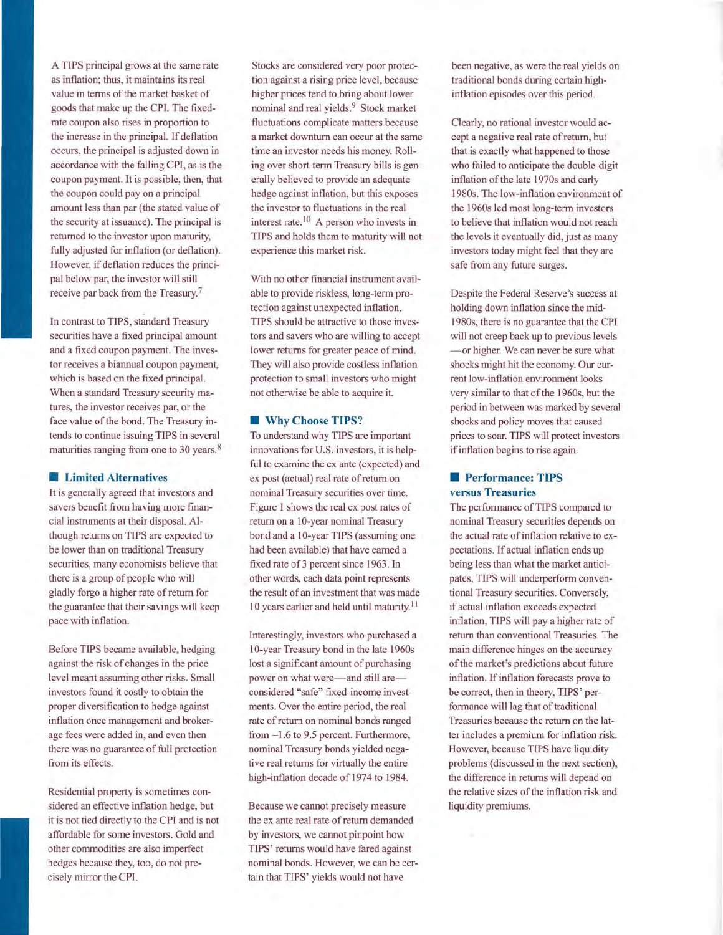A TIPS principal grows at the same rate as inflation; thus, it maintains its real value in terms of the market basket of goods that make up the CPI. The fixedrate coupon also rises in proportion to the increase in the principal. If deflation occurs, the principal is adjusted down in accordance with the falling CPI, as is the coupon payment. It is possible, then, that the coupon could pay on a principal amount less than par (the stated value of the security at issuance). The principal is returned to the investor upon maturity, fully adjusted for inflation (or deflation). However, if deflation reduces the principal below par, the investor will still receive par back from the Treasury.<sup>7</sup>

In contrast to TIPS, standard Treasury securities have a fixed principal amount and a fixed coupon payment. The investor receives a biannual coupon payment, which is based on the fixed principal. When a standard Treasury security matures, the investor receives par, or the face value of the bond. The Treasury intends to continue issuing TIPS in several maturities ranging from one to 30 years.<sup>8</sup>

## *Limited Alternatives*

It is generally agreed that investors and savers benefit from having more financial instruments at their disposal. Although returns on TIPS are expected to be lower than on traditional Treasury securities, many economists believe that there is a group of people who will gladly forgo a higher rate of return for the guarantee that their savings will keep pace with inflation.

Before TIPS became available, hedging against the risk of changes in the price level meant assuming other risks. Small investors found it costly to obtain the proper diversification to hedge against inflation once management and brokerage fees were added in, and even then there was no guarantee of full protection from its effects.

Residential property is sometimes considered an effective inflation hedge, but it is not tied directly to the CPI and is not affordable for some investors. Gold and other commodities are also imperfect hedges because they, too, do not precisely mirror the CPI.

Stocks are considered very poor protection against a rising price level, because higher prices tend to bring about lower nominal and real yields. 9 Stock market fluctuations complicate matters because a market downturn can occur at the same time an investor needs his money. Rolling over short-term Treasury bills is generally believed to provide an adequate hedge against inflation, but this exposes the investor to fluctuations in the real interest rate.<sup>10</sup> A person who invests in TIPS and holds them to maturity will not experience this market risk.

With no other financial instrument available to provide riskless, long-term protection against unexpected inflation, TIPS should be attractive to those investors and savers who are willing to accept lower returns for greater peace of mind. They will also provide costless inflation protection to small investors who might not otherwise be able to acquire it.

## • **Why Choose TIPS?**

To understand why TIPS are important innovations for U.S. investors, it is helpful to examine the ex ante (expected) and ex post (actual) real rate of return on nominal Treasury securities over time. Figure 1 shows the real ex post rates of return on a 10-year nominal Treasury bond and a 10-year TIPS (assuming one had been available) that have earned a fixed rate of 3 percent since 1963. In other words, each data point represents the result of an investment that was made 10 years earlier and held until maturity. 11

Interestingly, investors who purchased a 10-year Treasury bond in the late 1960s lost a significant amount of purchasing power on what were-and still areconsidered "safe" fixed-income investments. Over the entire period, the real rate of return on nominal bonds ranged from  $-1.6$  to 9.5 percent. Furthermore, nominal Treasury bonds yielded negative real returns for virtually the entire high-inflation decade of 1974 to 1984.

Because we cannot precisely measure the ex ante real rate of return demanded by investors, we cannot pinpoint how TIPS' returns would have fared against nominal bonds. However, we can be certain that TIPS' yields would not have

been negative, as were the real yields on traditional bonds during certain highinflation episodes over this period.

Clearly, no rational investor would accept a negative real rate of return, but that is exactly what happened to those who failed to anticipate the double-digit inflation of the late 1970s and early 1980s. The low-inflation environment of the 1960s led most long-term investors to believe that inflation would not reach the levels it eventually did, just as many investors today might feel that they are safe from any future surges.

Despite the Federal Reserve's success at holding down inflation since the midl 980s, there is no guarantee that the CPI will not creep back up to previous levels -or higher. We can never be sure what shocks might hit the economy. Our current low-inflation environment looks very similar to that of the 1960s, but the period in between was marked by several shocks and policy moves that caused prices to soar. TIPS will protect investors if inflation begins to rise again.

# **• Performance: TIPS versus Treasuries**

The performance of TIPS compared to nominal Treasury securities depends on the actual rate of inflation relative to expectations. If actual inflation ends up being less than what the market anticipates, TIPS will underperform conventional Treasury securities. Conversely, if actual inflation exceeds expected inflation, TIPS will pay a higher rate of return than conventional Treasuries. The main difference hinges on the accuracy of the market's predictions about future inflation. If inflation forecasts prove to be correct, then in theory, TIPS' performance will lag that of traditional Treasuries because the return on the latter includes a premium for inflation risk. However, because TIPS have liquidity problems (discussed in the next section), the difference in returns will depend on the relative sizes of the inflation risk and liquidity premiums.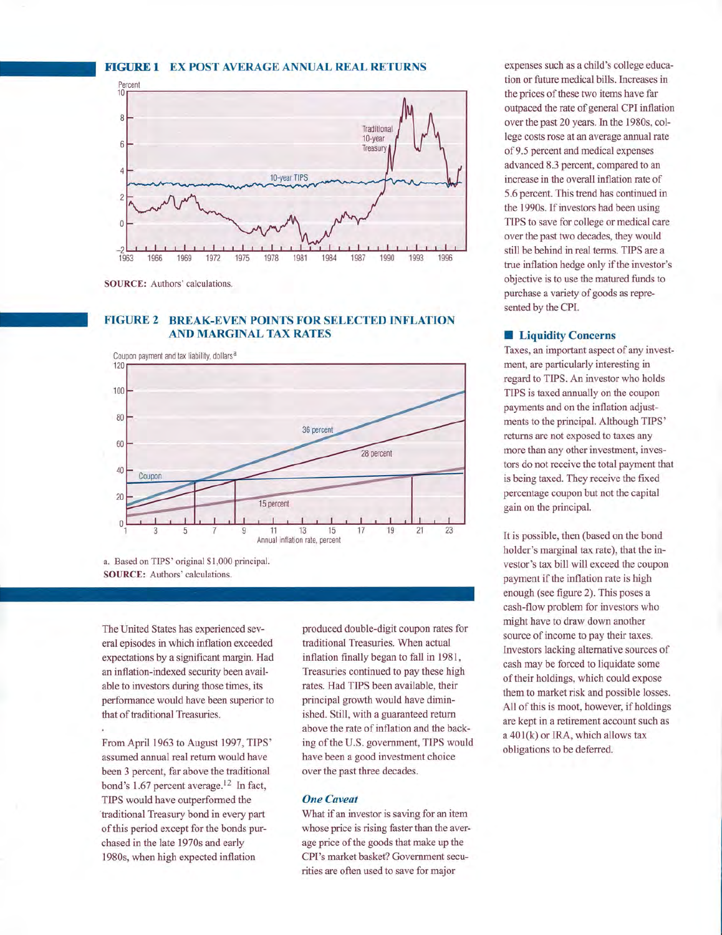## **FIGURE 1 EX POST AVERAGE ANNUAL REAL RETURNS**



**SOURCE:** Authors' calculations.

# **FIGURE 2 BREAK-EVEN POINTS FOR SELECTED INFLATION AND MARGINAL TAX RATES**



a. Based on TIPS' original \$1 ,000 principal. **SOURCE:** Authors' calculations.

The United States has experienced several episodes in which inflation exceeded expectations by a significant margin. Had an inflation-indexed security been available to investors during those times, its performance would have been superior to that of traditional Treasuries.

From April 1963 to August 1997, TIPS' assumed annual real return would have been 3 percent, far above the traditional bond's 1.67 percent average.<sup>12</sup> In fact, TIPS would have outperformed the traditional Treasury bond in every part of this period except for the bonds purchased in the late 1970s and early 1980s, when high expected inflation

produced double-digit coupon rates for traditional Treasuries. When actual inflation finally began to fall in 1981, Treasuries continued to pay these high rates. Had TIPS been available, their principal growth would have diminished. Still, with a guaranteed return above the rate of inflation and the backing of the U.S. government, TIPS would have been a good investment choice over the past three decades.

### *One Caveat*

What if an investor is saving for an item whose price is rising faster than the average price of the goods that make up the CPI's market basket? Government securities are often used to save for major

expenses such as a child's college education or future medical bills. Increases in the prices of these two items have far outpaced the rate of general CPI inflation over the past 20 years. In the 1980s, college costs rose at an average annual rate of9.5 percent and medical expenses advanced 8.3 percent, compared to an increase in the overall inflation rate of 5.6 percent. This trend has continued in the 1990s. If investors had been using TIPS to save for college or medical care over the past two decades, they would still be behind in real terms. TIPS are a true inflation hedge only if the investor's objective is to use the matured funds to purchase a variety of goods as represented by the CPI.

#### **E** Liquidity Concerns

Taxes, an important aspect of any investment, are particularly interesting in regard to TIPS. An investor who holds TIPS is taxed annually on the coupon payments and on the inflation adjustments to the principal. Although TIPS' returns are not exposed to taxes any more than any other investment, investors do not receive the total payment that is being taxed. They receive the fixed percentage coupon but not the capital gain on the principal.

It is possible, then (based on the bond holder's marginal tax rate), that the investor's tax bill will exceed the coupon payment if the inflation rate is high enough (see figure 2). This poses a cash-flow problem for investors who might have to draw down another source of income to pay their taxes. Investors lacking alternative sources of cash may be forced to liquidate some of their holdings, which could expose them to market risk and possible losses. All of this is moot, however, if holdings are kept in a retirement account such as a 40l(k) or IRA, which allows tax obligations to be deferred.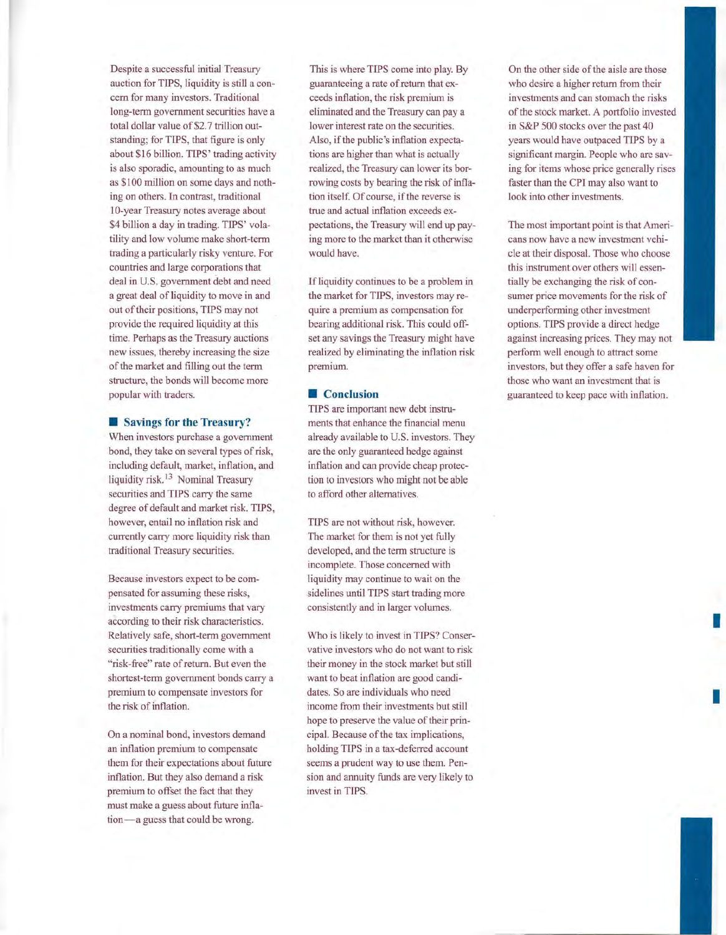Despite a successful initial Treasury auction for TIPS, liquidity is still a concern for many investors. Traditional long-term government securities have a total dollar value of \$2.7 trillion outstanding; for TIPS, that figure is only about \$16 billion. TIPS' trading activity is also sporadic, amounting to as much as \$100 million on some days and nothing on others. In contrast, traditional 10-year Treasury notes average about \$4 billion a day in trading. TIPS' volatility and low volume make short-term trading a particularly risky venture. For countries and large corporations that deal in U.S. government debt and need a great deal of liquidity to move in and out of their positions, TIPS may not provide the required liquidity at this time. Perhaps as the Treasury auctions new issues, thereby increasing the size of the market and filling out the term structure, the bonds will become more popular with traders.

#### **• Savings for the Treasury?**

When investors purchase a government bond, they take on several types of risk, including default, market, inflation, and liquidity risk.<sup>13</sup> Nominal Treasury securities and TIPS carry the same degree of default and market risk. TIPS, however, entail no inflation risk and currently carry more liquidity risk than traditional Treasury securities.

Because investors expect to be compensated for assuming these risks, investments carry premiums that vary according to their risk characteristics. Relatively safe, short-term government securities traditionally come with a "risk-free" rate of return. But even the shortest-term government bonds carry a premium to compensate investors for the risk of inflation.

On a nominal bond, investors demand an inflation premium to compensate them for their expectations about future inflation. But they also demand a risk premium to offset the fact that they must make a guess about future inflation-a guess that could be wrong.

This is where TIPS come into play. By guaranteeing a rate of return that exceeds inflation, the risk premium is eliminated and the Treasury can pay a lower interest rate on the securities. Also, if the public's inflation expectations are higher than what is actually realized, the Treasury can lower its borrowing costs by bearing the risk of inflation itself. Of course, if the reverse is true and actual inflation exceeds expectations, the Treasury will end up paying more to the market than it otherwise would have.

If liquidity continues to be a problem in the market for TIPS, investors may require a premium as compensation for bearing additional risk. This could offset any savings the Treasury might have realized by eliminating the inflation risk premium.

#### $\blacksquare$  Conclusion

TIPS are important new debt instruments that enhance the financial menu already available to U.S. investors. They are the only guaranteed hedge against inflation and can provide cheap protection to investors who might not be able to afford other alternatives.

TIPS are not without risk, however. The market for them is not yet fully developed, and the term structure is incomplete. Those concerned with liquidity may continue to wait on the sidelines until TIPS start trading more consistently and in larger volumes.

Who is likely to invest in TIPS? Conservative investors who do not want to risk their money in the stock market but still want to beat inflation are good candidates. So are individuals who need income from their investments but still hope to preserve the value of their principal. Because of the tax implications, holding TIPS in a tax-deferred account seems a prudent way to use them. Pension and annuity funds are very likely to invest in TIPS.

On the other side of the aisle are those who desire a higher return from their investments and can stomach the risks of the stock market. A portfolio invested in S&P 500 stocks over the past 40 years would have outpaced TIPS by a significant margin. People who are saving for items whose price generally rises faster than the CPI may also want to look into other investments.

The most important point is that Americans now have a new investment vehicle at their disposal. Those who choose this instrument over others will essentially be exchanging the risk of consumer price movements for the risk of underperforrning other investment options. TIPS provide a direct hedge against increasing prices. They may not perform well enough to attract some investors, but they offer a safe haven for those who want an investment that is guaranteed to keep pace with inflation.

I

I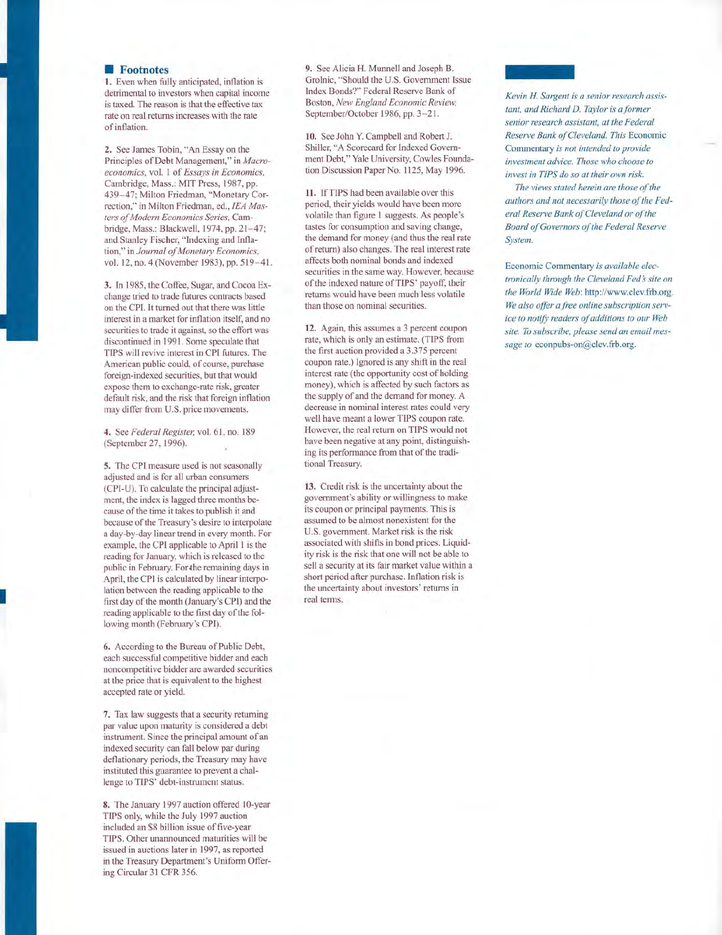## **Footnotes**

1. Even when fully anticipated, inflation is<br>detrimental to investors when capital income is taxed. The reason is that the effective tax rate on real returns increases with the rate

of inflation.<br>**2.** See James Tobin, "An Essay on the Principles of Debt Management ," in *Ma croeconomics,* vol. I of *Essays in Economics,*  Cambrid g e, Ma ss.: MJT Press, 1987, pp. 439 - 47; Milton Friedman, "Monetary Correction," in Milton Friedman, ed., *!EA Mas ters a/Modern Economics Series,* Cam bridge, Mass.: Blackwell, 1974, pp. 21-47; and Stanley Fischer, "Indexing and Infla tion," in *Journal of Monetary Economics*, vol. 12, no. 4 (November 1983), pp. 519–41.

3. In 19 8 5, the Coffee, Sugar, and Cocoa Ex change tried to trade futures contracts based on the CPI. It turned out that there was little interest in a mark et for inflation itself, and no securities to trade it against, so the effort was di scontinued in 1991. Some speculate that TIPS will revive interest in CPI future s. The American public could, of course, purchase foreign-inde xed s ecurities, but that would e xpo se them to exchange-rate risk, greater default risk, and the risk that foreign inflation may differ from U.S. price movements.

**4.** See *Federal Reg is t e 1;* vol. 61 , no. 189 (September 27, 1996).

5. The CPI measure used is not seasonally adju sted and is for all urban con swners ( CPI-U). To calculate the principal adjustment, the index is lagged three months be cause of the time it takes to publish it and becau se of the Treasury 's desire to interpolate a da y-b y-day linear trend in every month. For e xample, the CPI applicable to April 1 is the reading for January, which is released to the public in February. For the remaining days in April, the CPI is calculated by linear interpolation between the reading applicable to the fir st day of the month (January 's CPI) and the re ading applicable to the first d ay of the following month (February's CPI). 6. According to the Bureau of Public Debt,

I

each successful competitive bidder and each noncompetitive bidder are awarded securities at the price that is equivalent to the highest accepted rate or yield.

7. Tax law suggests that a security returning par value upon maturity is considered a debt instrument. Since the principal amount of an indexed security can fall below par during defl ationary periods, the Treasury may have instituted this guarantee to prevent a chal lenge to TIPS' debt-instrument status.

8. The January 1997 auction offered 10-year TIPS only, while the July 1997 auction included an \$8 billion issue of five-year TIPS. Other unannounced maturities will be issued in auctions later in 1997, as reported in the Treasury Department 's Uniform Offering Circular 31 CFR 356.

9. See Alicia H. Munnell and Joseph B. Grolnic, "Should the U.S. Government Issue Index Bonds?" Federal Reserve Bank of Boston, *New England E con omic R eview,*  September/October 1986, pp. 3–21.

10. See John Y. C ampbell and Robert J. Shiller, "A Scorecard for Indexed Government Debt," Yale University, Cowles Foundation Discussion Paper No. 1125, May 1996.

11. IfTIPS had been available over this period, their yields would have been more volatile than figure I suggests. As people 's tastes for consumption and saving change, the demand for money (and thus the real rate ofreturn) also changes. The real interest rate affects both nominal bonds and indexed securities in the same way. However, becau se of the indexed nature of TIPS' payoff, their returns would have been much less volatile than those on nominal securities.

12. Again, this assumes a 3 percent c oupon rate, which is only an estimate. (TIPS from the first auction provided a 3.375 percent coupon rate .) Ignored is any shift in the real interest rate (the opportunity cost of holding mone y ), which is affected by such factors as the supply of and the demand for money. A decrease in nominal interest rates could very well have meant a lower TIPS coupon rate. However, the real return on TIPS would not have be en negative at any point, distinguishing its performance from that of the traditional Treasury.

13. Credit risk is the uncertainty about the government's ability or willingness to make its coupon or principal payments. This is assumed to be almost nonexistent for the U.S. government. Market risk is the risk associated with shifts in bond price s. Liquid ity risk is the risk that one will not be able to sell a security at its fair market value within a short period after purchase. Inflation ri sk is the uncertainty about investors' returns in real tenns.



|<br>|<br>Kevin I<br>tant, an Kevin H. Sargent is a senior research assis*tant, and Richard D. Taylor is a former senior research assistant, at the F ederal Reserve Bank of Cleveland. This* Economic Commentary *is not intended to provide investment advice. Those who choose to invest in TIPS do so at their own risk.* 

*The views stated herein are those of the authors and not necessarily those of the Federal Reserve Bank of Cleveland or of the Board of Governors of the Federal Reserve System.* 

Economic Commentary *is available electronically through the Cleveland Feds site on the World Wide Web :* http://www .clev.frb.org. We also offer a free online subscription serv*ice to notifj; readers of additions to our Web site. To subscribe, please send an email message to* econpubs-on@clev.frb.org.